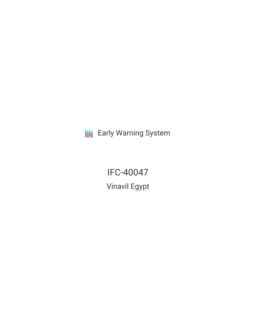**III** Early Warning System

IFC-40047 Vinavil Egypt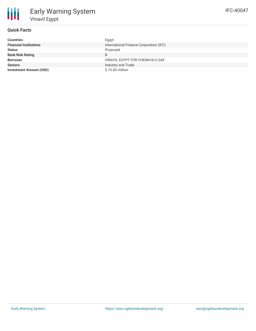| <b>Countries</b>               | Egypt                                   |
|--------------------------------|-----------------------------------------|
| <b>Financial Institutions</b>  | International Finance Corporation (IFC) |
| <b>Status</b>                  | Proposed                                |
| <b>Bank Risk Rating</b>        | B                                       |
| <b>Borrower</b>                | VINAVIL EGYPT FOR CHEMICALS SAE         |
| <b>Sectors</b>                 | Industry and Trade                      |
| <b>Investment Amount (USD)</b> | \$15.00 million                         |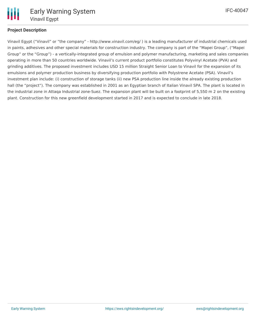

# **Project Description**

Vinavil Egypt ("Vinavil" or "the company" - http://www.vinavil.com/eg/ ) is a leading manufacturer of industrial chemicals used in paints, adhesives and other special materials for construction industry. The company is part of the "Mapei Group", ("Mapei Group" or the "Group") - a vertically-integrated group of emulsion and polymer manufacturing, marketing and sales companies operating in more than 50 countries worldwide. Vinavil's current product portfolio constitutes Polyvinyl Acetate (PVA) and grinding additives. The proposed investment includes USD 15 million Straight Senior Loan to Vinavil for the expansion of its emulsions and polymer production business by diversifying production portfolio with Polystrene Acetate (PSA). Vinavil's investment plan include: (i) construction of storage tanks (ii) new PSA production line inside the already existing production hall (the "project"). The company was established in 2001 as an Egyptian branch of Italian Vinavil SPA. The plant is located in the industrial zone in Attaqa Industrial zone-Suez. The expansion plant will be built on a footprint of 5,550 m 2 on the existing plant. Construction for this new greenfield development started in 2017 and is expected to conclude in late 2018.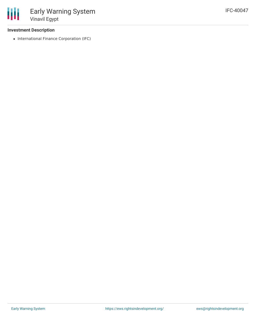## **Investment Description**

• International Finance Corporation (IFC)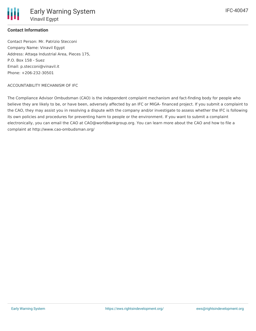

### **Contact Information**

Contact Person: Mr. Patrizio Stecconi Company Name: Vinavil Egypt Address: Attaqa Industrial Area, Pieces 175, P.O. Box 158 - Suez Email: p.stecconi@vinavil.it Phone: +206-232-30501

#### ACCOUNTABILITY MECHANISM OF IFC

The Compliance Advisor Ombudsman (CAO) is the independent complaint mechanism and fact-finding body for people who believe they are likely to be, or have been, adversely affected by an IFC or MIGA- financed project. If you submit a complaint to the CAO, they may assist you in resolving a dispute with the company and/or investigate to assess whether the IFC is following its own policies and procedures for preventing harm to people or the environment. If you want to submit a complaint electronically, you can email the CAO at CAO@worldbankgroup.org. You can learn more about the CAO and how to file a complaint at http://www.cao-ombudsman.org/